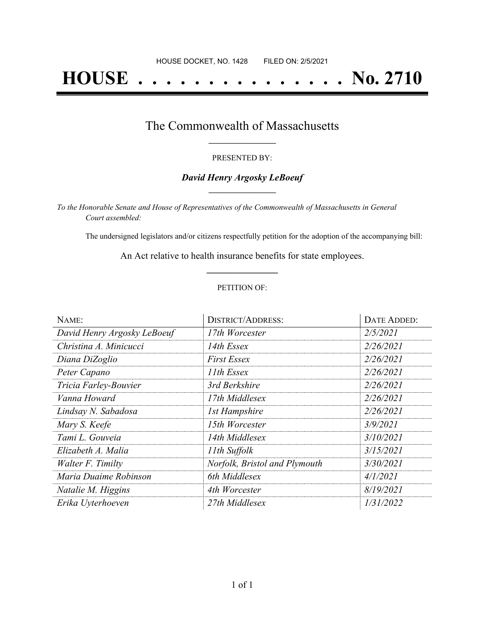# **HOUSE . . . . . . . . . . . . . . . No. 2710**

## The Commonwealth of Massachusetts **\_\_\_\_\_\_\_\_\_\_\_\_\_\_\_\_\_**

#### PRESENTED BY:

#### *David Henry Argosky LeBoeuf* **\_\_\_\_\_\_\_\_\_\_\_\_\_\_\_\_\_**

*To the Honorable Senate and House of Representatives of the Commonwealth of Massachusetts in General Court assembled:*

The undersigned legislators and/or citizens respectfully petition for the adoption of the accompanying bill:

An Act relative to health insurance benefits for state employees. **\_\_\_\_\_\_\_\_\_\_\_\_\_\_\_**

#### PETITION OF:

| NAME:                       | <b>DISTRICT/ADDRESS:</b>      | DATE ADDED: |
|-----------------------------|-------------------------------|-------------|
| David Henry Argosky LeBoeuf | 17th Worcester                | 2/5/2021    |
| Christina A. Minicucci      | 14th Essex                    | 2/26/2021   |
| Diana DiZoglio              | <b>First Essex</b>            | 2/26/2021   |
| Peter Capano                | 11th Essex                    | 2/26/2021   |
| Tricia Farley-Bouvier       | 3rd Berkshire                 | 2/26/2021   |
| Vanna Howard                | 17th Middlesex                | 2/26/2021   |
| Lindsay N. Sabadosa         | <b>1st Hampshire</b>          | 2/26/2021   |
| Mary S. Keefe               | 15th Worcester                | 3/9/2021    |
| Tami L. Gouveia             | 14th Middlesex                | 3/10/2021   |
| Elizabeth A. Malia          | 11th Suffolk                  | 3/15/2021   |
| Walter F. Timilty           | Norfolk, Bristol and Plymouth | 3/30/2021   |
| Maria Duaime Robinson       | 6th Middlesex                 | 4/1/2021    |
| Natalie M. Higgins          | 4th Worcester                 | 8/19/2021   |
| Erika Uyterhoeven           | 27th Middlesex                | 1/31/2022   |